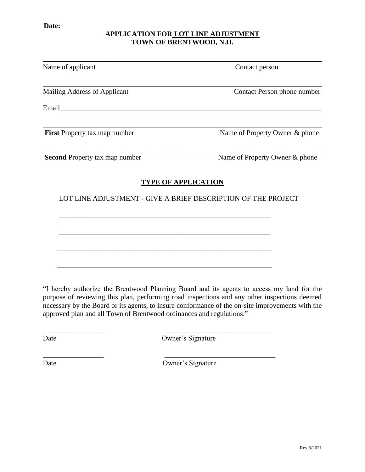## **APPLICATION FOR LOT LINE ADJUSTMENT TOWN OF BRENTWOOD, N.H.**

| Contact person                                                |
|---------------------------------------------------------------|
| Contact Person phone number                                   |
|                                                               |
| Name of Property Owner & phone                                |
| Name of Property Owner & phone                                |
| <b>TYPE OF APPLICATION</b>                                    |
| LOT LINE ADJUSTMENT - GIVE A BRIEF DESCRIPTION OF THE PROJECT |
|                                                               |
|                                                               |
|                                                               |
|                                                               |

"I hereby authorize the Brentwood Planning Board and its agents to access my land for the purpose of reviewing this plan, performing road inspections and any other inspections deemed necessary by the Board or its agents, to insure conformance of the on-site improvements with the approved plan and all Town of Brentwood ordinances and regulations."

 $\overline{\phantom{a}}$  , and the contract of the contract of the contract of the contract of the contract of the contract of the contract of the contract of the contract of the contract of the contract of the contract of the contrac

\_\_\_\_\_\_\_\_\_\_\_\_\_\_\_\_\_ \_\_\_\_\_\_\_\_\_\_\_\_\_\_\_\_\_\_\_\_\_\_\_\_\_\_\_\_\_\_\_

Date Owner's Signature

Date Owner's Signature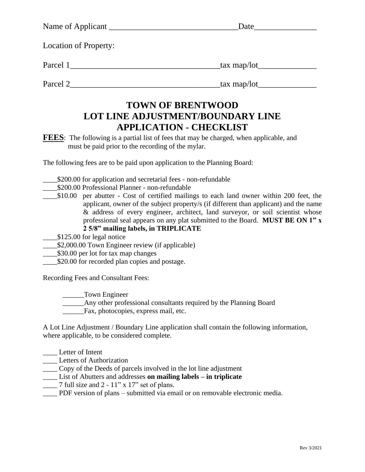| Name of Applicant            | Date          |
|------------------------------|---------------|
| <b>Location of Property:</b> |               |
| Parcel 1                     | _tax map/lot_ |
| Parcel 2                     | tax map/lot   |

## **APPLICATION - CHECKLIST LOT LINE ADJUSTMENT/BOUNDARY LINE TOWN OF BRENTWOOD**

must be paid prior to the recording of the mylar. **FEES**: The following is a partial list of fees that may be charged, when applicable, and

The following fees are to be paid upon application to the Planning Board:

- \_\_\_\_\$200.00 for application and secretarial fees non-refundable
- \_\_\_\_\$200.00 Professional Planner non-refundable
- \_\_\_\_\$10.00 per abutter Cost of certified mailings to each land owner within 200 feet, the **2 5/8" mailing labels, in TRIPLICATE** professional seal appears on any plat submitted to the Board. **MUST BE ON 1" x** & address of every engineer, architect, land surveyor, or soil scientist whose applicant, owner of the subject property/s (if different than applicant) and the name

\_\_\_\_\$125.00 for legal notice

- \_\_\_\_\$2,000.00 Town Engineer review (if applicable)
- \_\_\_\_\$30.00 per lot for tax map changes
- \_\_\_\_\$20.00 for recorded plan copies and postage.

Recording Fees and Consultant Fees:

\_\_\_\_\_\_Town Engineer

Any other professional consultants required by the Planning Board

\_\_\_\_\_\_Fax, photocopies, express mail, etc.

where applicable, to be considered complete. A Lot Line Adjustment / Boundary Line application shall contain the following information,

- \_\_\_\_ Letter of Intent
- **Letters of Authorization**
- \_\_\_\_ Copy of the Deeds of parcels involved in the lot line adjustment
- \_\_\_\_ List of Abutters and addresses **on mailing labels – in triplicate**
- 7 full size and 2  $11$ " x  $17$ " set of plans.
- PDF version of plans submitted via email or on removable electronic media.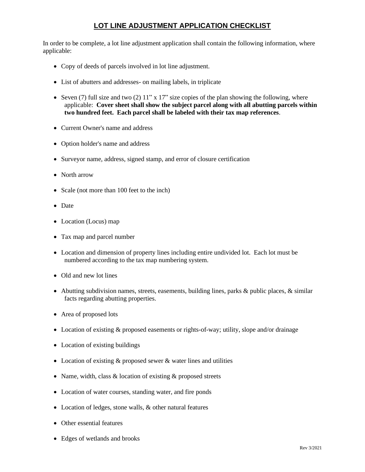## **LOT LINE ADJUSTMENT APPLICATION CHECKLIST**

applicable: In order to be complete, a lot line adjustment application shall contain the following information, where

- Copy of deeds of parcels involved in lot line adjustment.
- List of abutters and addresses- on mailing labels, in triplicate
- applicable: **Cover sheet shall show the subject parcel along with all abutting parcels within two hundred feet. Each parcel shall be labeled with their tax map references**. • Seven (7) full size and two (2)  $11"$  x  $17"$  size copies of the plan showing the following, where
- Current Owner's name and address
- Option holder's name and address
- Surveyor name, address, signed stamp, and error of closure certification
- North arrow
- Scale (not more than 100 feet to the inch)
- Date
- Location (Locus) map
- Tax map and parcel number
- numbered according to the tax map numbering system. • Location and dimension of property lines including entire undivided lot. Each lot must be
- Old and new lot lines
- facts regarding abutting properties. • Abutting subdivision names, streets, easements, building lines, parks & public places, & similar
- Area of proposed lots
- Location of existing & proposed easements or rights-of-way; utility, slope and/or drainage
- Location of existing buildings
- Location of existing & proposed sewer & water lines and utilities
- Name, width, class & location of existing & proposed streets
- Location of water courses, standing water, and fire ponds
- Location of ledges, stone walls, & other natural features
- Other essential features
- Edges of wetlands and brooks